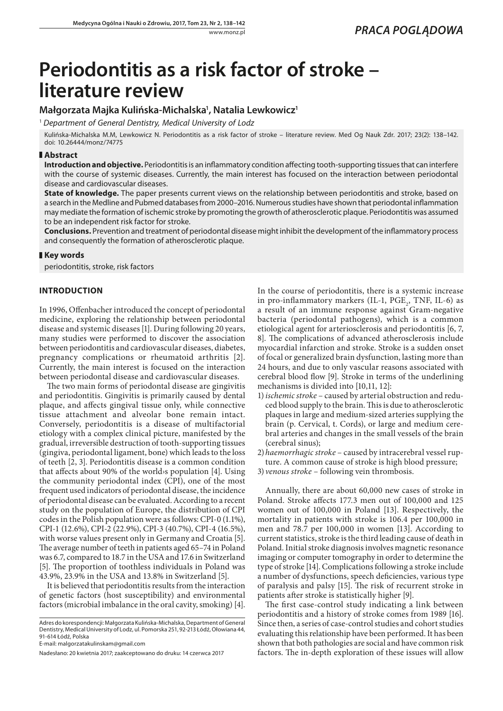# **Periodontitis as a risk factor of stroke – literature review**

# **Małgorzata Majka Kulińska-Michalska1 , Natalia Lewkowicz1**

<sup>1</sup> *Department of General Dentistry, Medical University of Lodz*

Kulińska-Michalska M.M, Lewkowicz N. Periodontitis as a risk factor of stroke – literature review. Med Og Nauk Zdr. 2017; 23(2): 138–142. doi: 10.26444/monz/74775

## **Abstract**

**Introduction and objective.** Periodontitis is an inflammatory condition affecting tooth-supporting tissues that can interfere with the course of systemic diseases. Currently, the main interest has focused on the interaction between periodontal disease and cardiovascular diseases.

**State of knowledge.** The paper presents current views on the relationship between periodontitis and stroke, based on a search in the Medline and Pubmed databases from 2000–2016. Numerous studies have shown that periodontal inflammation may mediate the formation of ischemic stroke by promoting the growth of atherosclerotic plaque. Periodontitis was assumed to be an independent risk factor for stroke.

**Conclusions.** Prevention and treatment of periodontal disease might inhibit the development of the inflammatory process and consequently the formation of atherosclerotic plaque.

#### **Key words**

periodontitis, stroke, risk factors

## **INTRODUCTION**

In 1996, Offenbacher introduced the concept of periodontal medicine, exploring the relationship between periodontal disease and systemic diseases [1]. During following 20 years, many studies were performed to discover the association between periodontitis and cardiovascular diseases, diabetes, pregnancy complications or rheumatoid arthritis [2]. Currently, the main interest is focused on the interaction between periodontal disease and cardiovascular diseases.

The two main forms of periodontal disease are gingivitis and periodontitis. Gingivitis is primarily caused by dental plaque, and affects gingival tissue only, while connective tissue attachment and alveolar bone remain intact. Conversely, periodontitis is a disease of multifactorial etiology with a complex clinical picture, manifested by the gradual, irreversible destruction of tooth-supporting tissues (gingiva, periodontal ligament, bone) which leads to the loss of teeth [2, 3]. Periodontitis disease is a common condition that affects about 90% of the world›s population [4]. Using the community periodontal index (CPI), one of the most frequent used indicators of periodontal disease, the incidence of periodontal disease can be evaluated. According to a recent study on the population of Europe, the distribution of CPI codes in the Polish population were as follows: CPI-0 (1.1%), CPI-1 (12.6%), CPI-2 (22.9%), CPI-3 (40.7%), CPI-4 (16.5%), with worse values present only in Germany and Croatia [5]. The average number of teeth in patients aged 65–74 in Poland was 6.7, compared to 18.7 in the USA and 17.6 in Switzerland [5]. The proportion of toothless individuals in Poland was 43.9%, 23.9% in the USA and 13.8% in Switzerland [5].

It is believed that periodontitis results from the interaction of genetic factors (host susceptibility) and environmental factors (microbial imbalance in the oral cavity, smoking) [4].

Adres do korespondencji: Małgorzata Kulińska-Michalska, Department of General Dentistry, Medical University of Lodz, ul. Pomorska 251, 92-213 Łódź, Ołowiana 44, 91-614 Łódź, Polska

In the course of periodontitis, there is a systemic increase in pro-inflammatory markers (IL-1,  $PGE_2$ , TNF, IL-6) as a result of an immune response against Gram-negative bacteria (periodontal pathogens), which is a common etiological agent for arteriosclerosis and periodontitis [6, 7, 8]. The complications of advanced atherosclerosis include myocardial infarction and stroke. Stroke is a sudden onset of focal or generalized brain dysfunction, lasting more than 24 hours, and due to only vascular reasons associated with cerebral blood flow [9]. Stroke in terms of the underlining mechanisms is divided into [10,11, 12]:

- 1)*ischemic stroke* caused by arterial obstruction and reduced blood supply to the brain. This is due to atherosclerotic plaques in large and medium-sized arteries supplying the brain (p. Cervical, t. Cords), or large and medium cerebral arteries and changes in the small vessels of the brain (cerebral sinus);
- 2)*haemorrhagic stroke*  caused by intracerebral vessel rupture. A common cause of stroke is high blood pressure;
- 3) *venous stroke* following vein thrombosis.

Annually, there are about 60,000 new cases of stroke in Poland. Stroke affects 177.3 men out of 100,000 and 125 women out of 100,000 in Poland [13]. Respectively, the mortality in patients with stroke is 106.4 per 100,000 in men and 78.7 per 100,000 in women [13]. According to current statistics, stroke is the third leading cause of death in Poland. Initial stroke diagnosis involves magnetic resonance imaging or computer tomography in order to determine the type of stroke [14]. Complications following a stroke include a number of dysfunctions, speech deficiencies, various type of paralysis and palsy [15]. The risk of recurrent stroke in patients after stroke is statistically higher [9].

The first case-control study indicating a link between periodontitis and a history of stroke comes from 1989 [16]. Since then, a series of case-control studies and cohort studies evaluating this relationship have been performed. It has been shown that both pathologies are social and have common risk factors. The in-depth exploration of these issues will allow

E-mail: malgorzatakulinskam@gmail.com

Nadesłano: 20 kwietnia 2017; zaakceptowano do druku: 14 czerwca 2017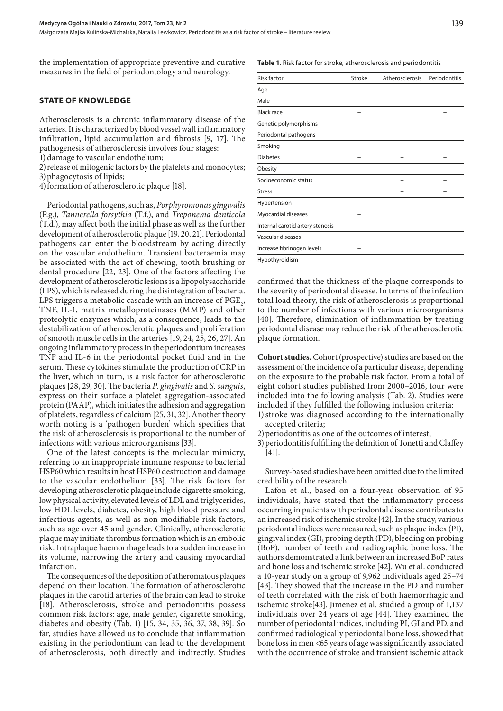Małgorzata Majka Kulińska-Michalska, Natalia Lewkowicz . Periodontitis as a risk factor of stroke – literature review

the implementation of appropriate preventive and curative measures in the field of periodontology and neurology.

#### **STATE OF KNOWLEDGE**

Atherosclerosis is a chronic inflammatory disease of the arteries. It is characterized by blood vessel wall inflammatory infiltration, lipid accumulation and fibrosis [9, 17]. The pathogenesis of atherosclerosis involves four stages:

1) damage to vascular endothelium;

2)release of mitogenic factors by the platelets and monocytes;

3)phagocytosis of lipids;

4) formation of atherosclerotic plaque [18].

Periodontal pathogens, such as, *Porphyromonas gingivalis* (P.g.), *Tannerella forsythia* (T.f.), and *Treponema denticola*  (T.d.), may affect both the initial phase as well as the further development of atherosclerotic plaque [19, 20, 21]. Periodontal pathogens can enter the bloodstream by acting directly on the vascular endothelium. Transient bacteraemia may be associated with the act of chewing, tooth brushing or dental procedure [22, 23]. One of the factors affecting the development of atherosclerotic lesions is a lipopolysaccharide (LPS), which is released during the disintegration of bacteria. LPS triggers a metabolic cascade with an increase of  $PGE_2$ , TNF, IL-1, matrix metalloproteinases (MMP) and other proteolytic enzymes which, as a consequence, leads to the destabilization of atherosclerotic plaques and proliferation of smooth muscle cells in the arteries [19, 24, 25, 26, 27]. An ongoing inflammatory process in the periodontium increases TNF and IL-6 in the periodontal pocket fluid and in the serum. These cytokines stimulate the production of CRP in the liver, which in turn, is a risk factor for atherosclerotic plaques [28, 29, 30]. The bacteria *P. gingivalis* and *S. sanguis*, express on their surface a platelet aggregation-associated protein (PAAP), which initiates the adhesion and aggregation of platelets, regardless of calcium [25, 31, 32]. Another theory worth noting is a 'pathogen burden' which specifies that the risk of atherosclerosis is proportional to the number of infections with various microorganisms [33].

One of the latest concepts is the molecular mimicry, referring to an inappropriate immune response to bacterial HSP60 which results in host HSP60 destruction and damage to the vascular endothelium [33]. The risk factors for developing atherosclerotic plaque include cigarette smoking, low physical activity, elevated levels of LDL and triglycerides, low HDL levels, diabetes, obesity, high blood pressure and infectious agents, as well as non-modifiable risk factors, such as age over 45 and gender. Clinically, atherosclerotic plaque may initiate thrombus formation which is an embolic risk. Intraplaque haemorrhage leads to a sudden increase in its volume, narrowing the artery and causing myocardial infarction.

The consequences of the deposition of atheromatous plaques depend on their location. The formation of atherosclerotic plaques in the carotid arteries of the brain can lead to stroke [18]. Atherosclerosis, stroke and periodontitis possess common risk factors: age, male gender, cigarette smoking, diabetes and obesity (Tab. 1) [15, 34, 35, 36, 37, 38, 39]. So far, studies have allowed us to conclude that inflammation existing in the periodontium can lead to the development of atherosclerosis, both directly and indirectly. Studies

**Table 1.** Risk factor for stroke, atherosclerosis and periodontitis

| <b>Risk factor</b>               | Stroke | Atherosclerosis | Periodontitis |
|----------------------------------|--------|-----------------|---------------|
| Age                              | $^{+}$ | $^{+}$          | $^{+}$        |
| Male                             | $^{+}$ | $^{+}$          | $\ddot{}$     |
| <b>Black race</b>                | $^{+}$ |                 | $^{+}$        |
| Genetic polymorphisms            | $^{+}$ | $+$             | $^{+}$        |
| Periodontal pathogens            |        |                 | $^{+}$        |
| Smoking                          | $^{+}$ | $+$             | $^{+}$        |
| <b>Diabetes</b>                  | $^{+}$ | $\ddot{}$       | $\ddot{}$     |
| Obesity                          | $^{+}$ | $\ddot{}$       | $^{+}$        |
| Socioeconomic status             |        | $+$             | $^{+}$        |
| <b>Stress</b>                    |        | $^{+}$          | $^{+}$        |
| Hypertension                     | $^{+}$ | $^{+}$          |               |
| Myocardial diseases              | $^{+}$ |                 |               |
| Internal carotid artery stenosis | $^{+}$ |                 |               |
| Vascular diseases                | $^{+}$ |                 |               |
| Increase fibrinogen levels       | $^{+}$ |                 |               |
| Hypothyroidism                   | $^{+}$ |                 |               |

confirmed that the thickness of the plaque corresponds to the severity of periodontal disease. In terms of the infection total load theory, the risk of atherosclerosis is proportional to the number of infections with various microorganisms [40]. Therefore, elimination of inflammation by treating periodontal disease may reduce the risk of the atherosclerotic plaque formation.

**Cohort studies.** Cohort (prospective) studies are based on the assessment of the incidence of a particular disease, depending on the exposure to the probable risk factor. From a total of eight cohort studies published from 2000–2016, four were included into the following analysis (Tab. 2). Studies were included if they fulfilled the following inclusion criteria:

- 1)stroke was diagnosed according to the internationally accepted criteria;
- 2) periodontitis as one of the outcomes of interest;
- 3)periodontitis fulfilling the definition of Tonetti and Claffey [41].

Survey-based studies have been omitted due to the limited credibility of the research.

Lafon et al., based on a four-year observation of 95 individuals, have stated that the inflammatory process occurring in patients with periodontal disease contributes to an increased risk of ischemic stroke [42]. In the study, various periodontal indices were measured, such as plaque index (PI), gingival index (GI), probing depth (PD), bleeding on probing (BoP), number of teeth and radiographic bone loss. The authors demonstrated a link between an increased BoP rates and bone loss and ischemic stroke [42]. Wu et al. conducted a 10-year study on a group of 9,962 individuals aged 25–74 [43]. They showed that the increase in the PD and number of teeth correlated with the risk of both haemorrhagic and ischemic stroke[43]. Jimenez et al. studied a group of 1,137 individuals over 24 years of age [44]. They examined the number of periodontal indices, including PI, GI and PD, and confirmed radiologically periodontal bone loss, showed that bone loss in men <65 years of age was significantly associated with the occurrence of stroke and transient ischemic attack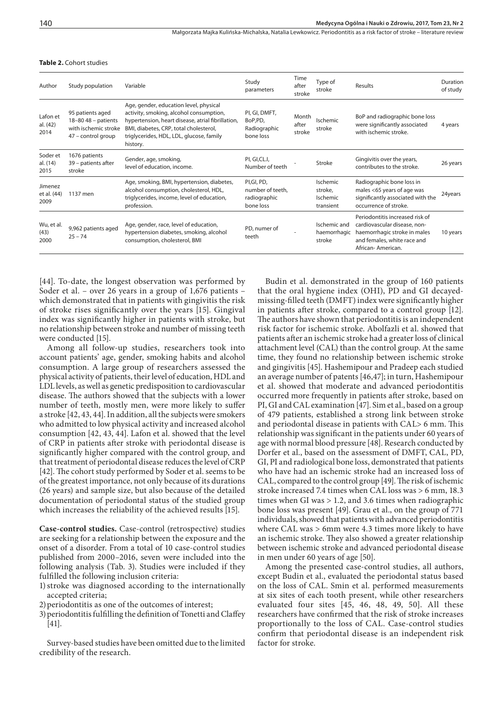Małgorzata Majka Kulińska-Michalska, Natalia Lewkowicz . Periodontitis as a risk factor of stroke – literature review

| Study population                                                                        | Variable                                                                                                                                                                                                                                 | Study<br>parameters                                          | Time<br>after<br>stroke  | Type of<br>stroke                            | Results                                                                                                                                             | Duration<br>of study |
|-----------------------------------------------------------------------------------------|------------------------------------------------------------------------------------------------------------------------------------------------------------------------------------------------------------------------------------------|--------------------------------------------------------------|--------------------------|----------------------------------------------|-----------------------------------------------------------------------------------------------------------------------------------------------------|----------------------|
| 95 patients aged<br>$18-80$ 48 - patients<br>with ischemic stroke<br>47 - control group | Age, gender, education level, physical<br>activity, smoking, alcohol consumption,<br>hypertension, heart disease, atrial fibrillation,<br>BMI, diabetes, CRP, total cholesterol,<br>triglycerides, HDL, LDL, glucose, family<br>history. | PI, GI, DMFT,<br>BoP,PD,<br>Radiographic<br>bone loss        | Month<br>after<br>stroke | Ischemic<br>stroke                           | BoP and radiographic bone loss<br>were significantly associated<br>with ischemic stroke.                                                            | 4 years              |
| 1676 patients<br>39 - patients after<br>stroke                                          | Gender, age, smoking,<br>level of education, income.                                                                                                                                                                                     | PI, GI, CL.I,<br>Number of teeth                             |                          | Stroke                                       | Gingivitis over the years,<br>contributes to the stroke.                                                                                            | 26 years             |
| 1137 men                                                                                | Age, smoking, BMI, hypertension, diabetes,<br>alcohol consumption, cholesterol, HDL,<br>triglycerides, income, level of education,<br>profession.                                                                                        | PI, GI, PD,<br>number of teeth.<br>radiographic<br>bone loss |                          | Ischemic<br>stroke,<br>Ischemic<br>transient | Radiographic bone loss in<br>males <65 years of age was<br>significantly associated with the<br>occurrence of stroke.                               | 24years              |
| 9,962 patients aged<br>$25 - 74$                                                        | Age, gender, race, level of education,<br>hypertension diabetes, smoking, alcohol<br>consumption, cholesterol, BMI                                                                                                                       | PD, numer of<br>teeth                                        |                          | Ischemic and<br>haemorrhagic<br>stroke       | Periodontitis increased risk of<br>cardiovascular disease, non-<br>haemorrhagic stroke in males<br>and females, white race and<br>African-American. | 10 years             |
|                                                                                         |                                                                                                                                                                                                                                          |                                                              |                          |                                              |                                                                                                                                                     |                      |

#### **Table 2.** Cohort studies

[44]. To-date, the longest observation was performed by Soder et al. – over 26 years in a group of 1,676 patients – which demonstrated that in patients with gingivitis the risk of stroke rises significantly over the years [15]. Gingival index was significantly higher in patients with stroke, but no relationship between stroke and number of missing teeth were conducted [15].

Among all follow-up studies, researchers took into account patients' age, gender, smoking habits and alcohol consumption. A large group of researchers assessed the physical activity of patients, their level of education, HDL and LDL levels, as well as genetic predisposition to cardiovascular disease. The authors showed that the subjects with a lower number of teeth, mostly men, were more likely to suffer a stroke [42, 43, 44]. In addition, all the subjects were smokers who admitted to low physical activity and increased alcohol consumption [42, 43, 44]. Lafon et al. showed that the level of CRP in patients after stroke with periodontal disease is significantly higher compared with the control group, and that treatment of periodontal disease reduces the level of CRP [42]. The cohort study performed by Soder et al. seems to be of the greatest importance, not only because of its durations (26 years) and sample size, but also because of the detailed documentation of periodontal status of the studied group which increases the reliability of the achieved results [15].

**Case-control studies.** Case-control (retrospective) studies are seeking for a relationship between the exposure and the onset of a disorder. From a total of 10 case-control studies published from 2000–2016, seven were included into the following analysis (Tab. 3). Studies were included if they fulfilled the following inclusion criteria:

- 1)stroke was diagnosed according to the internationally accepted criteria;
- 2) periodontitis as one of the outcomes of interest;
- 3)periodontitis fulfilling the definition of Tonetti and Claffey [41].

Survey-based studies have been omitted due to the limited credibility of the research.

Budin et al. demonstrated in the group of 160 patients that the oral hygiene index (OHI), PD and GI decayedmissing-filled teeth (DMFT) index were significantly higher in patients after stroke, compared to a control group [12]. The authors have shown that periodontitis is an independent risk factor for ischemic stroke. Abolfazli et al. showed that patients after an ischemic stroke had a greater loss of clinical attachment level (CAL) than the control group. At the same time, they found no relationship between ischemic stroke and gingivitis [45]. Hashemipour and Pradeep each studied an average number of patents [46,47]; in turn, Hashemipour et al. showed that moderate and advanced periodontitis occurred more frequently in patients after stroke, based on PI, GI and CAL examination [47]. Sim et al., based on a group of 479 patients, established a strong link between stroke and periodontal disease in patients with CAL> 6 mm. This relationship was significant in the patients under 60 years of age with normal blood pressure [48]. Research conducted by Dorfer et al., based on the assessment of DMFT, CAL, PD, GI, PI and radiological bone loss, demonstrated that patients who have had an ischemic stroke had an increased loss of CAL, compared to the control group [49]. The risk of ischemic stroke increased 7.4 times when CAL loss was > 6 mm, 18.3 times when GI was > 1.2, and 3.6 times when radiographic bone loss was present [49]. Grau et al., on the group of 771 individuals, showed that patients with advanced periodontitis where CAL was > 6mm were 4.3 times more likely to have an ischemic stroke. They also showed a greater relationship between ischemic stroke and advanced periodontal disease in men under 60 years of age [50].

Among the presented case-control studies, all authors, except Budin et al., evaluated the periodontal status based on the loss of CAL. Smin et al. performed measurements at six sites of each tooth present, while other researchers evaluated four sites [45, 46, 48, 49, 50]. All these researchers have confirmed that the risk of stroke increases proportionally to the loss of CAL. Case-control studies confirm that periodontal disease is an independent risk factor for stroke.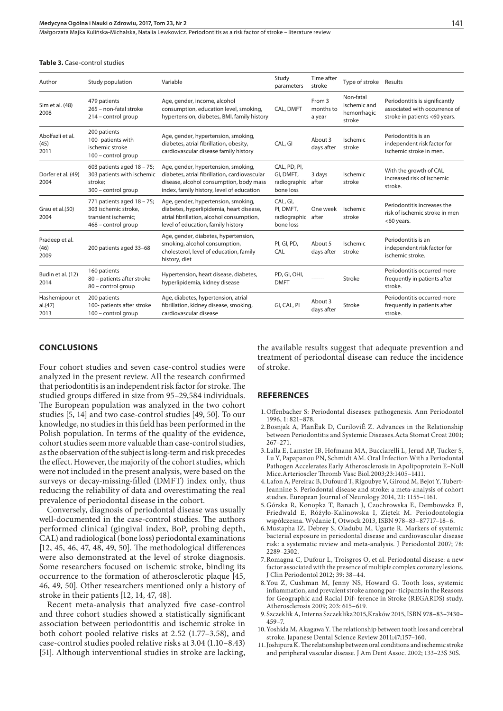Małgorzata Majka Kulińska-Michalska, Natalia Lewkowicz . Periodontitis as a risk factor of stroke – literature review

#### **Table 3.** Case-control studies

| Author                            | Study population                                                                                 | Variable                                                                                                                                                                     | Study<br>parameters                                          | Time after<br>stroke          | Type of stroke Results                             |                                                                                                  |
|-----------------------------------|--------------------------------------------------------------------------------------------------|------------------------------------------------------------------------------------------------------------------------------------------------------------------------------|--------------------------------------------------------------|-------------------------------|----------------------------------------------------|--------------------------------------------------------------------------------------------------|
| Sim et al. (48)<br>2008           | 479 patients<br>265 - non-fatal stroke<br>214 - control group                                    | Age, gender, income, alcohol<br>consumption, education level, smoking,<br>hypertension, diabetes, BMI, family history                                                        | CAL, DMFT                                                    | From 3<br>months to<br>a year | Non-fatal<br>ischemic and<br>hemorrhagic<br>stroke | Periodontitis is significantly<br>associated with occurrence of<br>stroke in patients <60 years. |
| Abolfazli et al.<br>(45)<br>2011  | 200 patients<br>100- patients with<br>ischemic stroke<br>100 - control group                     | Age, gender, hypertension, smoking,<br>diabetes, atrial fibrillation, obesity,<br>cardiovascular disease family history                                                      | CAL, GI                                                      | About 3<br>days after         | Ischemic<br>stroke                                 | Periodontitis is an<br>independent risk factor for<br>ischemic stroke in men.                    |
| Dorfer et al. (49)<br>2004        | 603 patients aged $18 - 75$ ;<br>303 patients with ischemic<br>stroke:<br>300 - control group    | Age, gender, hypertension, smoking,<br>diabetes, atrial fibrillation, cardiovascular<br>disease, alcohol consumption, body mass<br>index, family history, level of education | CAL, PD, PI,<br>GI, DMFT,<br>radiographic after<br>bone loss | 3 days                        | Ischemic<br>stroke                                 | With the growth of CAL<br>increased risk of ischemic<br>stroke.                                  |
| Grau et al.(50)<br>2004           | 771 patients aged 18 - 75;<br>303 ischemic stroke.<br>transient ischemic:<br>468 - control group | Age, gender, hypertension, smoking,<br>diabetes, hyperlipidemia, heart disease,<br>atrial fibrillation, alcohol consumption,<br>level of education, family history           | CAL, GI,<br>PI, DMFT,<br>radiographic after<br>bone loss     | One week                      | Ischemic<br>stroke                                 | Periodontitis increases the<br>risk of ischemic stroke in men<br>$<$ 60 years.                   |
| Pradeep et al.<br>(46)<br>2009    | 200 patients aged 33-68                                                                          | Age, gender, diabetes, hypertension,<br>smoking, alcohol consumption,<br>cholesterol, level of education, family<br>history, diet                                            | PI, GI, PD,<br>CAL                                           | About 5<br>days after         | Ischemic<br>stroke                                 | Periodontitis is an<br>independent risk factor for<br>ischemic stroke.                           |
| Budin et al. (12)<br>2014         | 160 patients<br>80 - patients after stroke<br>80 - control group                                 | Hypertension, heart disease, diabetes,<br>hyperlipidemia, kidney disease                                                                                                     | PD, GI, OHI,<br><b>DMFT</b>                                  | -------                       | Stroke                                             | Periodontitis occurred more<br>frequently in patients after<br>stroke.                           |
| Hashemipour et<br>al.(47)<br>2013 | 200 patients<br>100- patients after stroke<br>100 - control group                                | Age, diabetes, hypertension, atrial<br>fibrillation, kidney disease, smoking,<br>cardiovascular disease                                                                      | GI, CAL, PI                                                  | About 3<br>days after         | Stroke                                             | Periodontitis occurred more<br>frequently in patients after<br>stroke.                           |

#### **CONCLUSIONS**

Four cohort studies and seven case-control studies were analyzed in the present review. All the research confirmed that periodontitis is an independent risk factor for stroke. The studied groups differed in size from 95–29,584 individuals. The European population was analyzed in the two cohort studies [5, 14] and two case-control studies [49, 50]. To our knowledge, no studies in this field has been performed in the Polish population. In terms of the quality of the evidence, cohort studies seem more valuable than case-control studies, as the observation of the subject is long-term and risk precedes the effect. However, the majority of the cohort studies, which were not included in the present analysis, were based on the surveys or decay-missing-filled (DMFT) index only, thus reducing the reliability of data and overestimating the real prevalence of periodontal disease in the cohort.

Conversely, diagnosis of periodontal disease was usually well-documented in the case-control studies. The authors performed clinical (gingival index, BoP, probing depth, CAL) and radiological (bone loss) periodontal examinations [12, 45, 46, 47, 48, 49, 50]. The methodological differences were also demonstrated at the level of stroke diagnosis. Some researchers focused on ischemic stroke, binding its occurrence to the formation of atherosclerotic plaque [45, 46, 49, 50]. Other researchers mentioned only a history of stroke in their patients [12, 14, 47, 48].

Recent meta-analysis that analyzed five case-control and three cohort studies showed a statistically significant association between periodontitis and ischemic stroke in both cohort pooled relative risks at 2.52 (1.77–3.58), and case-control studies pooled relative risks at 3.04 (1.10–8.43) [51]. Although interventional studies in stroke are lacking,

the available results suggest that adequate prevention and treatment of periodontal disease can reduce the incidence of stroke.

#### **REFERENCES**

- 1.Offenbacher S: Periodontal diseases: pathogenesis. Ann Periodontol 1996, 1: 821–878.
- 2.Bosnjak A, PlanËak D, CuriloviÊ Z. Advances in the Relationship between Periodontitis and Systemic Diseases.Acta Stomat Croat 2001; 267–271.
- 3.Lalla E, Lamster IB, Hofmann MA, Bucciarelli L, Jerud AP, Tucker S, Lu Y, Papapanou PN, Schmidt AM. Oral Infection With a Periodontal Pathogen Accelerates Early Atherosclerosis in Apolipoprotein E–Null Mice.Arterioscler Thromb Vasc Biol.2003;23:1405–1411.
- 4.Lafon A, Pereirac B, Dufourd T, Rigoubye V, Giroud M, Bejot Y, Tubert-Jeannine S. Periodontal disease and stroke: a meta-analysis of cohort studies. European Journal of Neurology 2014, 21: 1155–1161.
- 5.Górska R, Konopka T, Banach J, Czochrowska E, Dembowska E, Friedwald E, Różyło-Kalinowska I, Ziętek M. Periodontologia współczesna. Wydanie I, Otwock 2013, ISBN 978–83–87717–18–6.
- 6.Mustapha IZ, Debrey S, Oladubu M, Ugarte R. Markers of systemic bacterial exposure in periodontal disease and cardiovascular disease risk: a systematic review and meta-analysis. J Periodontol 2007; 78: 2289–2302.
- 7.Romagna C, Dufour L, Troisgros O, et al. Periodontal disease: a new factor associated with the presence of multiple complex coronary lesions. J Clin Periodontol 2012; 39: 38–44.
- 8.You Z, Cushman M, Jenny NS, Howard G. Tooth loss, systemic inflammation, and prevalent stroke among par- ticipants in the Reasons for Geographic and Racial Dif- ference in Stroke (REGARDS) study. Atherosclerosis 2009; 203: 615–619.
- 9.Szczeklik A, Interna Szczeklika2015,Kraków 2015, ISBN 978–83–7430– 459–7.
- 10.Yoshida M, Akagawa Y. The relationship between tooth loss and cerebral stroke. Japanese Dental Science Review 2011;47;157–160.
- 11.Joshipura K. The relationship between oral conditions and ischemic stroke and peripheral vascular disease. J Am Dent Assoc. 2002; 133–23S 30S.